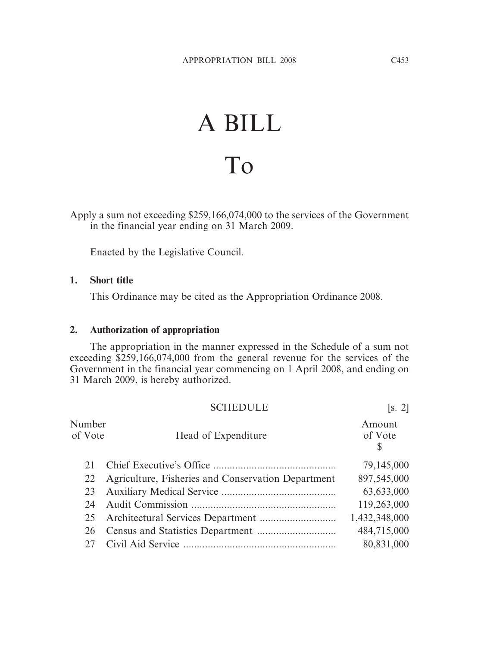## A BILL To

Apply a sum not exceeding \$259,166,074,000 to the services of the Government in the financial year ending on 31 March 2009.

Enacted by the Legislative Council.

## **1. Short title**

This Ordinance may be cited as the Appropriation Ordinance 2008.

## **2. Authorization of appropriation**

The appropriation in the manner expressed in the Schedule of a sum not exceeding \$259,166,074,000 from the general revenue for the services of the Government in the financial year commencing on 1 April 2008, and ending on 31 March 2009, is hereby authorized.

|                   | <b>SCHEDULE</b>                                    | [s, 2]                 |
|-------------------|----------------------------------------------------|------------------------|
| Number<br>of Vote | Head of Expenditure                                | Amount<br>of Vote<br>S |
|                   |                                                    | 79,145,000             |
| 22                | Agriculture, Fisheries and Conservation Department | 897,545,000            |
| 23                |                                                    | 63,633,000             |
| 24                |                                                    | 119,263,000            |
| 25                |                                                    | 1,432,348,000          |
| 26                |                                                    | 484,715,000            |
| 27                |                                                    | 80,831,000             |
|                   |                                                    |                        |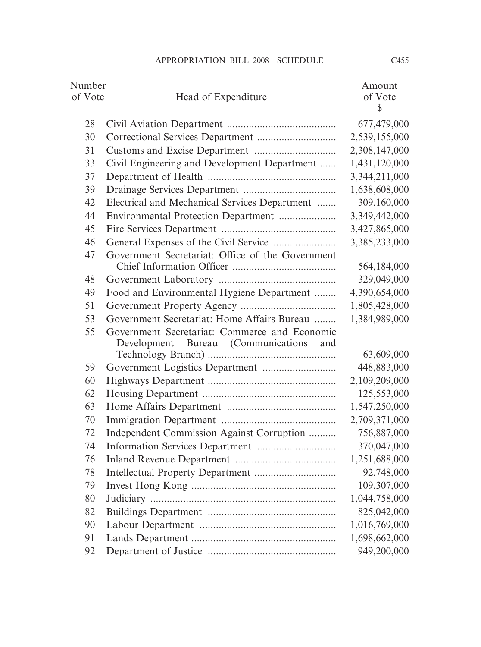| Number  |                                                  | Amount        |
|---------|--------------------------------------------------|---------------|
| of Vote | Head of Expenditure                              | of Vote       |
|         |                                                  | $\mathbb{S}$  |
| 28      |                                                  | 677,479,000   |
| 30      |                                                  | 2,539,155,000 |
| 31      |                                                  | 2,308,147,000 |
| 33      | Civil Engineering and Development Department     | 1,431,120,000 |
| 37      |                                                  | 3,344,211,000 |
| 39      |                                                  | 1,638,608,000 |
| 42      | Electrical and Mechanical Services Department    | 309,160,000   |
| 44      | Environmental Protection Department              | 3,349,442,000 |
| 45      |                                                  | 3,427,865,000 |
| 46      |                                                  | 3,385,233,000 |
| 47      | Government Secretariat: Office of the Government |               |
|         |                                                  | 564,184,000   |
| 48      |                                                  | 329,049,000   |
| 49      | Food and Environmental Hygiene Department        | 4,390,654,000 |
| 51      |                                                  | 1,805,428,000 |
| 53      | Government Secretariat: Home Affairs Bureau      | 1,384,989,000 |
| 55      | Government Secretariat: Commerce and Economic    |               |
|         | Development Bureau (Communications<br>and        | 63,609,000    |
| 59      |                                                  | 448,883,000   |
| 60      |                                                  | 2,109,209,000 |
| 62      |                                                  | 125,553,000   |
| 63      |                                                  | 1,547,250,000 |
| 70      |                                                  | 2,709,371,000 |
| 72      | Independent Commission Against Corruption        | 756,887,000   |
| 74      |                                                  | 370,047,000   |
| 76      |                                                  | 1,251,688,000 |
| 78      |                                                  | 92,748,000    |
| 79      |                                                  | 109,307,000   |
| 80      |                                                  | 1,044,758,000 |
| 82      |                                                  | 825,042,000   |
| 90      |                                                  | 1,016,769,000 |
| 91      |                                                  | 1,698,662,000 |
| 92      |                                                  | 949,200,000   |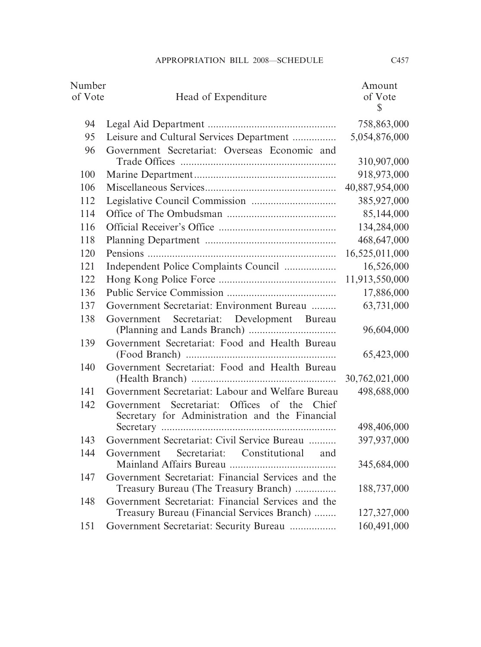| Number<br>of Vote | Head of Expenditure                                                                            | Amount<br>of Vote |
|-------------------|------------------------------------------------------------------------------------------------|-------------------|
|                   |                                                                                                | $\mathbb{S}$      |
| 94                |                                                                                                | 758,863,000       |
| 95                | Leisure and Cultural Services Department                                                       | 5,054,876,000     |
| 96                | Government Secretariat: Overseas Economic and                                                  |                   |
|                   |                                                                                                | 310,907,000       |
| 100               |                                                                                                | 918,973,000       |
| 106               |                                                                                                | 40,887,954,000    |
| 112               |                                                                                                | 385,927,000       |
| 114               |                                                                                                | 85,144,000        |
| 116               |                                                                                                | 134,284,000       |
| 118               |                                                                                                | 468,647,000       |
| 120               |                                                                                                | 16,525,011,000    |
| 121               |                                                                                                | 16,526,000        |
| 122               |                                                                                                | 11,913,550,000    |
| 136               |                                                                                                | 17,886,000        |
| 137               | Government Secretariat: Environment Bureau                                                     | 63,731,000        |
| 138               | Secretariat: Development Bureau<br>Government                                                  | 96,604,000        |
| 139               | Government Secretariat: Food and Health Bureau                                                 | 65,423,000        |
| 140               | Government Secretariat: Food and Health Bureau                                                 |                   |
|                   |                                                                                                | 30,762,021,000    |
| 141               | Government Secretariat: Labour and Welfare Bureau                                              | 498,688,000       |
| 142               | Government Secretariat: Offices of the Chief<br>Secretary for Administration and the Financial |                   |
|                   |                                                                                                | 498,406,000       |
| 143               | Government Secretariat: Civil Service Bureau                                                   | 397,937,000       |
| 144               | Secretariat: Constitutional<br>Government<br>and                                               | 345,684,000       |
| 147               | Government Secretariat: Financial Services and the<br>Treasury Bureau (The Treasury Branch)    | 188,737,000       |
| 148               | Government Secretariat: Financial Services and the                                             |                   |
|                   | Treasury Bureau (Financial Services Branch)                                                    | 127,327,000       |
| 151               | Government Secretariat: Security Bureau                                                        | 160,491,000       |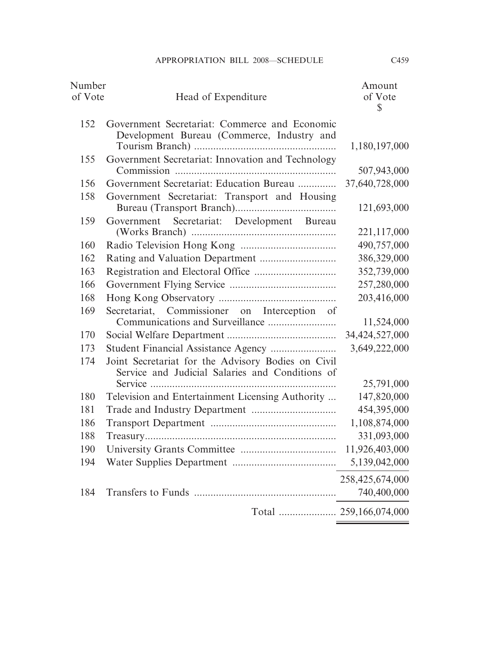| Number<br>of Vote | Head of Expenditure                                                                                   | Amount<br>of Vote<br>\$ |
|-------------------|-------------------------------------------------------------------------------------------------------|-------------------------|
| 152               | Government Secretariat: Commerce and Economic<br>Development Bureau (Commerce, Industry and           | 1,180,197,000           |
| 155               | Government Secretariat: Innovation and Technology                                                     | 507,943,000             |
| 156               | Government Secretariat: Education Bureau                                                              | 37,640,728,000          |
| 158               | Government Secretariat: Transport and Housing                                                         | 121,693,000             |
| 159               | Government Secretariat: Development Bureau                                                            |                         |
|                   |                                                                                                       | 221,117,000             |
| 160               |                                                                                                       | 490,757,000             |
| 162               |                                                                                                       | 386,329,000             |
| 163               |                                                                                                       | 352,739,000             |
| 166               |                                                                                                       | 257,280,000             |
| 168               |                                                                                                       | 203,416,000             |
| 169               | Secretariat, Commissioner on Interception of<br>Communications and Surveillance                       | 11,524,000              |
| 170               |                                                                                                       | 34,424,527,000          |
| 173               |                                                                                                       | 3,649,222,000           |
| 174               | Joint Secretariat for the Advisory Bodies on Civil<br>Service and Judicial Salaries and Conditions of |                         |
|                   |                                                                                                       | 25,791,000              |
| 180               | Television and Entertainment Licensing Authority                                                      | 147,820,000             |
| 181               |                                                                                                       | 454,395,000             |
| 186               |                                                                                                       | 1,108,874,000           |
| 188               |                                                                                                       | 331,093,000             |
| 190               |                                                                                                       | 11,926,403,000          |
| 194               |                                                                                                       | 5,139,042,000           |
|                   |                                                                                                       | 258,425,674,000         |
| 184               |                                                                                                       | 740,400,000             |
|                   |                                                                                                       |                         |